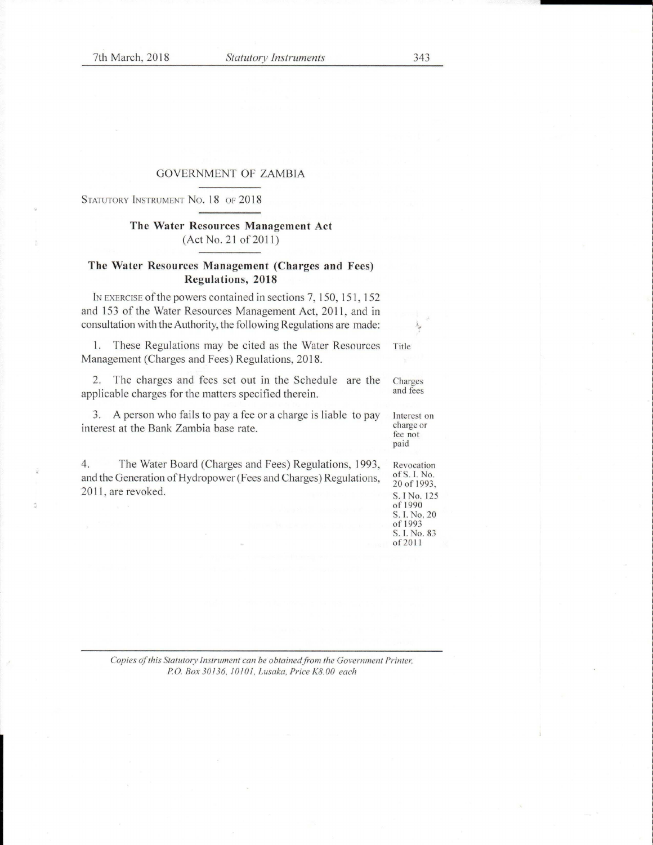#### GOVERNMENT OF ZAMBIA

STATUTORY INSTRUMENT NO. 18 OF 2018

# **The Water Resources Management Act**   $(Act No. 21 of 2011)$

#### **The Water Resources Management (Charges and Fees) Regulations, 2018**

IN EXERCISE of the powers contained in sections 7, 150, 151, 152 and 153 of the Water Resources Management Act, 2011, and in consultation with the Authority, the following Regulations are made:

I. These Regulations may be cited as the Water Resources Management (Charges and Fees) Regulations, 2018. Title

2. The charges and fees set out in the Schedule are the applicable charges for the matters specified therein. Charges and fees

3. A person who fails to pay a fee or a charge is liable to pay interest at the Bank Zambia base rate. Interest on charge or fee not

4. The Water Board (Charges and Fees) Regulations, 1993, and the Generation of Hydropower (Fees and Charges) Regulations, 2011, are revoked.

Revocation of S. I. No. 20 of 1993, S. l No. 125 of 1990 S. I. No. 20 of 1993 S. l. No. 83 of20l l

paid

*Copies of this Statutory Instrument can be obtained from the Government Printer. PO. Box 301 36. /010/. Lusaka, Price KB.00 each*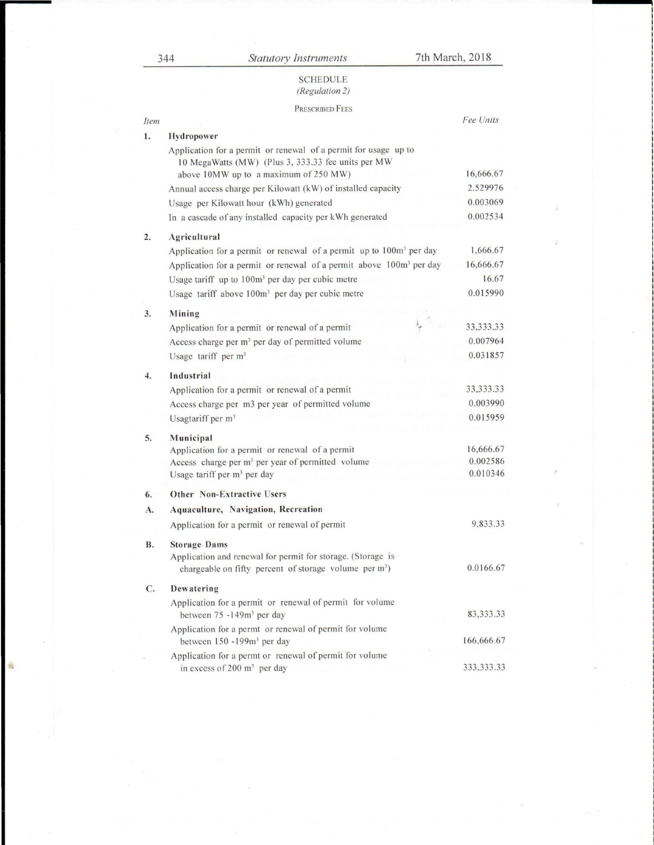竊

## SCHEDULE *(Regulation 2)*

## PRESCRIBED FEES

| Item      |                                                                                                                       | Fee Units             |
|-----------|-----------------------------------------------------------------------------------------------------------------------|-----------------------|
| 1.        | Hydropower                                                                                                            |                       |
|           | Application for a permit or renewal of a permit for usage up to<br>10 MegaWatts (MW) (Plus 3, 333.33 fee units per MW |                       |
|           | above 10MW up to a maximum of 250 MW)<br>Annual access charge per Kilowatt (kW) of installed capacity                 | 16,666.67<br>2.529976 |
|           |                                                                                                                       | 0.003069              |
|           | Usage per Kilowatt hour (kWh) generated<br>In a cascade of any installed capacity per kWh generated                   | 0.002534              |
|           |                                                                                                                       |                       |
| 2.        | Agricultural                                                                                                          |                       |
|           | Application for a permit or renewal of a permit up to 100m <sup>3</sup> per day                                       | 1,666.67              |
|           | Application for a permit or renewal of a permit above 100m <sup>3</sup> per day                                       | 16,666.67             |
|           | Usage tariff up to 100m <sup>3</sup> per day per cubic metre                                                          | 16.67                 |
|           | Usage tariff above 100m <sup>3</sup> per day per cubic metre                                                          | 0.015990              |
| 3.        | Mining                                                                                                                |                       |
|           | Application for a permit or renewal of a permit                                                                       | 33, 333. 33           |
|           | Access charge per m <sup>3</sup> per day of permitted volume                                                          | 0.007964              |
|           | Usage tariff per $m3$                                                                                                 | 0.031857              |
| 4.        | Industrial                                                                                                            |                       |
|           | Application for a permit or renewal of a permit                                                                       | 33, 333. 33           |
|           | Access charge per m3 per year of permitted volume                                                                     | 0.003990              |
|           | Usagtariff per m <sup>3</sup>                                                                                         | 0.015959              |
| 5.        | Municipal                                                                                                             |                       |
|           | Application for a permit or renewal of a permit                                                                       | 16,666.67             |
|           | Access charge per m <sup>3</sup> per year of permitted volume                                                         | 0.002586              |
|           | Usage tariff per m <sup>3</sup> per day                                                                               | 0.010346              |
| 6.        | <b>Other Non-Extractive Users</b>                                                                                     |                       |
| А.        | Aquaculture, Navigation, Recreation                                                                                   |                       |
|           | Application for a permit or renewal of permit                                                                         | 9,833.33              |
| <b>B.</b> | <b>Storage Dams</b>                                                                                                   |                       |
|           | Application and renewal for permit for storage. (Storage is                                                           |                       |
|           | chargeable on fifty percent of storage volume per m <sup>3</sup> )                                                    | 0.0166.67             |
| C.        | Dewatering                                                                                                            |                       |
|           | Application for a permit or renewal of permit for volume                                                              |                       |
|           | between 75 -149m <sup>3</sup> per day                                                                                 | 83, 333. 33           |
|           | Application for a permt or renewal of permit for volume                                                               |                       |
|           | between 150 -199m <sup>3</sup> per day                                                                                | 166,666.67            |
|           | Application for a permt or renewal of permit for volume                                                               |                       |
|           | in excess of 200 $m^3$ per day                                                                                        | 333, 333. 33          |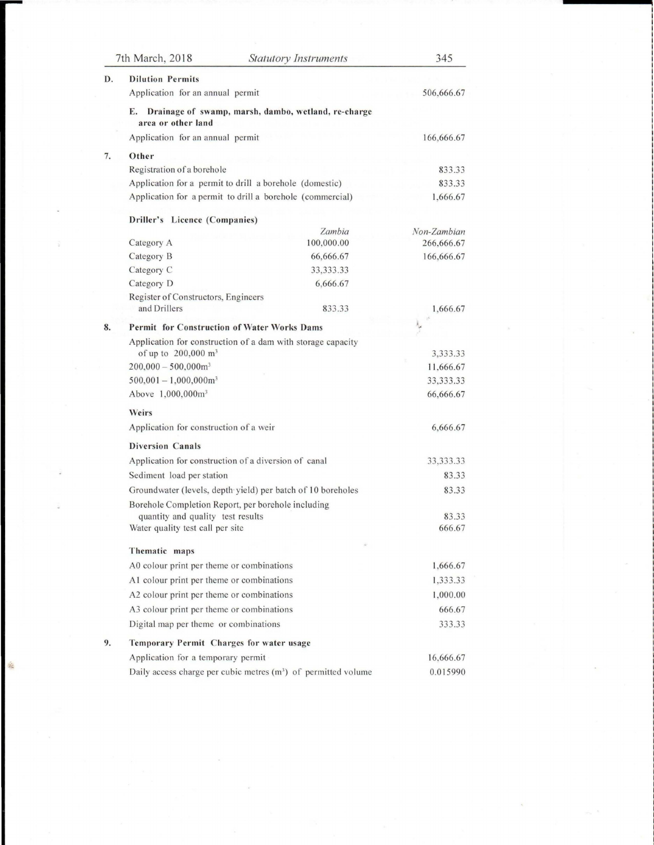|    | 7th March, 2018<br><b>Statutory Instruments</b>                                 |             | 345         |
|----|---------------------------------------------------------------------------------|-------------|-------------|
| D. | <b>Dilution Permits</b>                                                         |             |             |
|    | Application for an annual permit                                                |             | 506,666.67  |
|    | Drainage of swamp, marsh, dambo, wetland, re-charge<br>Е.<br>area or other land |             |             |
|    | Application for an annual permit                                                |             | 166,666.67  |
| 7. | Other                                                                           |             |             |
|    | Registration of a borehole                                                      |             | 833.33      |
|    | Application for a permit to drill a borehole (domestic)                         |             | 833.33      |
|    | Application for a permit to drill a borehole (commercial)                       |             | 1,666.67    |
|    | Driller's Licence (Companies)                                                   |             |             |
|    |                                                                                 | Zambia      | Non-Zambian |
|    | Category A                                                                      | 100,000.00  | 266,666.67  |
|    | Category B                                                                      | 66,666.67   | 166,666.67  |
|    | Category C                                                                      | 33, 333. 33 |             |
|    | Category D                                                                      | 6,666.67    |             |
|    | Register of Constructors, Engineers<br>and Drillers                             | 833.33      | 1,666.67    |
| 8. | <b>Permit for Construction of Water Works Dams</b>                              |             |             |
|    | Application for construction of a dam with storage capacity                     |             |             |
|    | of up to 200,000 m <sup>3</sup>                                                 |             | 3,333.33    |
|    | $200,000 - 500,000$ m <sup>3</sup>                                              |             | 11,666.67   |
|    | $500,001 - 1,000,000$ m <sup>3</sup>                                            |             | 33, 333. 33 |
|    | Above 1,000,000m <sup>3</sup>                                                   |             | 66,666.67   |
|    | Weirs                                                                           |             |             |
|    | Application for construction of a weir                                          |             | 6,666.67    |
|    | <b>Diversion Canals</b>                                                         |             |             |
|    | Application for construction of a diversion of canal                            |             | 33, 333. 33 |
|    | Sediment load per station                                                       |             | 83.33       |
|    | Groundwater (levels, depth yield) per batch of 10 boreholes                     |             | 83.33       |
|    | Borehole Completion Report, per borehole including                              |             |             |
|    | quantity and quality test results                                               |             | 83.33       |
|    | Water quality test call per site                                                |             | 666.67      |
|    | Thematic maps                                                                   | ö           |             |
|    | A0 colour print per theme or combinations                                       |             | 1,666.67    |
|    | A1 colour print per theme or combinations                                       |             | 1,333.33    |
|    | A2 colour print per theme or combinations                                       |             | 1,000.00    |
|    | A3 colour print per theme or combinations                                       |             | 666.67      |
|    | Digital map per theme or combinations                                           |             | 333.33      |
| 9. | Temporary Permit Charges for water usage                                        |             |             |
|    | Application for a temporary permit                                              |             | 16,666.67   |
|    | Daily access charge per cubic metres (m <sup>3</sup> ) of permitted volume      |             | 0.015990    |

壤

 $\lambda$